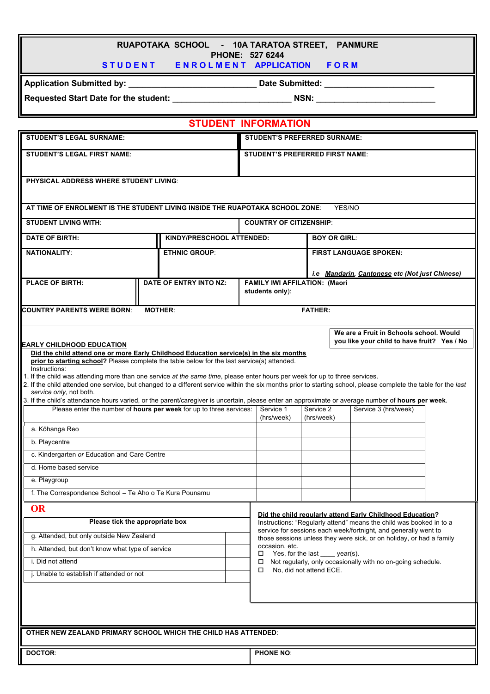| RUAPOTAKA SCHOOL - 10A TARATOA STREET, PANMURE<br>PHONE: 527 6244<br>STUDENT ENROLMENT APPLICATION FORM                                                                                                                                                                                                                                                                                                                                                                                                                                                                                                                                                                                                                                                                                                                                        |                           |                 |                                                                                                                                           |  |                                                           |  |
|------------------------------------------------------------------------------------------------------------------------------------------------------------------------------------------------------------------------------------------------------------------------------------------------------------------------------------------------------------------------------------------------------------------------------------------------------------------------------------------------------------------------------------------------------------------------------------------------------------------------------------------------------------------------------------------------------------------------------------------------------------------------------------------------------------------------------------------------|---------------------------|-----------------|-------------------------------------------------------------------------------------------------------------------------------------------|--|-----------------------------------------------------------|--|
|                                                                                                                                                                                                                                                                                                                                                                                                                                                                                                                                                                                                                                                                                                                                                                                                                                                |                           |                 |                                                                                                                                           |  |                                                           |  |
| Requested Start Date for the student: NSN: NSN:                                                                                                                                                                                                                                                                                                                                                                                                                                                                                                                                                                                                                                                                                                                                                                                                |                           |                 |                                                                                                                                           |  |                                                           |  |
| <b>STUDENT INFORMATION</b>                                                                                                                                                                                                                                                                                                                                                                                                                                                                                                                                                                                                                                                                                                                                                                                                                     |                           |                 |                                                                                                                                           |  |                                                           |  |
| <b>STUDENT'S LEGAL SURNAME:</b>                                                                                                                                                                                                                                                                                                                                                                                                                                                                                                                                                                                                                                                                                                                                                                                                                |                           |                 | <b>STUDENT'S PREFERRED SURNAME:</b>                                                                                                       |  |                                                           |  |
| <b>STUDENT'S LEGAL FIRST NAME:</b>                                                                                                                                                                                                                                                                                                                                                                                                                                                                                                                                                                                                                                                                                                                                                                                                             |                           |                 | <b>STUDENT'S PREFERRED FIRST NAME:</b>                                                                                                    |  |                                                           |  |
| <b>PHYSICAL ADDRESS WHERE STUDENT LIVING:</b>                                                                                                                                                                                                                                                                                                                                                                                                                                                                                                                                                                                                                                                                                                                                                                                                  |                           |                 |                                                                                                                                           |  |                                                           |  |
| AT TIME OF ENROLMENT IS THE STUDENT LIVING INSIDE THE RUAPOTAKA SCHOOL ZONE:                                                                                                                                                                                                                                                                                                                                                                                                                                                                                                                                                                                                                                                                                                                                                                   |                           |                 |                                                                                                                                           |  | YES/NO                                                    |  |
| <b>STUDENT LIVING WITH:</b>                                                                                                                                                                                                                                                                                                                                                                                                                                                                                                                                                                                                                                                                                                                                                                                                                    |                           |                 | <b>COUNTRY OF CITIZENSHIP:</b>                                                                                                            |  |                                                           |  |
| <b>DATE OF BIRTH:</b>                                                                                                                                                                                                                                                                                                                                                                                                                                                                                                                                                                                                                                                                                                                                                                                                                          | KINDY/PRESCHOOL ATTENDED: |                 | <b>BOY OR GIRL:</b>                                                                                                                       |  |                                                           |  |
| <b>NATIONALITY:</b>                                                                                                                                                                                                                                                                                                                                                                                                                                                                                                                                                                                                                                                                                                                                                                                                                            | <b>ETHNIC GROUP:</b>      |                 | <b>FIRST LANGUAGE SPOKEN:</b>                                                                                                             |  |                                                           |  |
|                                                                                                                                                                                                                                                                                                                                                                                                                                                                                                                                                                                                                                                                                                                                                                                                                                                |                           |                 |                                                                                                                                           |  | i.e Mandarin, Cantonese etc (Not just Chinese)            |  |
| <b>PLACE OF BIRTH:</b>                                                                                                                                                                                                                                                                                                                                                                                                                                                                                                                                                                                                                                                                                                                                                                                                                         | DATE OF ENTRY INTO NZ:    |                 | <b>FAMILY IWI AFFILATION: (Maori</b>                                                                                                      |  |                                                           |  |
|                                                                                                                                                                                                                                                                                                                                                                                                                                                                                                                                                                                                                                                                                                                                                                                                                                                |                           | students only): |                                                                                                                                           |  |                                                           |  |
| <b>FATHER:</b><br><b>COUNTRY PARENTS WERE BORN:</b><br><b>MOTHER:</b>                                                                                                                                                                                                                                                                                                                                                                                                                                                                                                                                                                                                                                                                                                                                                                          |                           |                 |                                                                                                                                           |  |                                                           |  |
| We are a Fruit in Schools school. Would<br>you like your child to have fruit? Yes / No                                                                                                                                                                                                                                                                                                                                                                                                                                                                                                                                                                                                                                                                                                                                                         |                           |                 |                                                                                                                                           |  |                                                           |  |
| Did the child attend one or more Early Childhood Education service(s) in the six months<br>prior to starting school? Please complete the table below for the last service(s) attended.<br>Instructions:<br>1. If the child was attending more than one service at the same time, please enter hours per week for up to three services.<br>2. If the child attended one service, but changed to a different service within the six months prior to starting school, please complete the table for the last<br>service only, not both.<br>3. If the child's attendance hours varied, or the parent/caregiver is uncertain, please enter an approximate or average number of hours per week.<br>Please enter the number of hours per week for up to three services:<br>Service 1<br>Service 2<br>Service 3 (hrs/week)<br>(hrs/week)<br>(hrs/week) |                           |                 |                                                                                                                                           |  |                                                           |  |
| a. Kōhanga Reo                                                                                                                                                                                                                                                                                                                                                                                                                                                                                                                                                                                                                                                                                                                                                                                                                                 |                           |                 |                                                                                                                                           |  |                                                           |  |
| b. Playcentre                                                                                                                                                                                                                                                                                                                                                                                                                                                                                                                                                                                                                                                                                                                                                                                                                                  |                           |                 |                                                                                                                                           |  |                                                           |  |
| c. Kindergarten or Education and Care Centre                                                                                                                                                                                                                                                                                                                                                                                                                                                                                                                                                                                                                                                                                                                                                                                                   |                           |                 |                                                                                                                                           |  |                                                           |  |
| d. Home based service                                                                                                                                                                                                                                                                                                                                                                                                                                                                                                                                                                                                                                                                                                                                                                                                                          |                           |                 |                                                                                                                                           |  |                                                           |  |
| e. Playgroup                                                                                                                                                                                                                                                                                                                                                                                                                                                                                                                                                                                                                                                                                                                                                                                                                                   |                           |                 |                                                                                                                                           |  |                                                           |  |
| f. The Correspondence School - Te Aho o Te Kura Pounamu                                                                                                                                                                                                                                                                                                                                                                                                                                                                                                                                                                                                                                                                                                                                                                                        |                           |                 |                                                                                                                                           |  |                                                           |  |
| <b>OR</b>                                                                                                                                                                                                                                                                                                                                                                                                                                                                                                                                                                                                                                                                                                                                                                                                                                      |                           |                 |                                                                                                                                           |  | Did the child regularly attend Early Childhood Education? |  |
| Please tick the appropriate box                                                                                                                                                                                                                                                                                                                                                                                                                                                                                                                                                                                                                                                                                                                                                                                                                |                           |                 | Instructions: "Regularly attend" means the child was booked in to a<br>service for sessions each week/fortnight, and generally went to    |  |                                                           |  |
| g. Attended, but only outside New Zealand                                                                                                                                                                                                                                                                                                                                                                                                                                                                                                                                                                                                                                                                                                                                                                                                      |                           |                 | those sessions unless they were sick, or on holiday, or had a family<br>occasion, etc.                                                    |  |                                                           |  |
| h. Attended, but don't know what type of service<br>i. Did not attend                                                                                                                                                                                                                                                                                                                                                                                                                                                                                                                                                                                                                                                                                                                                                                          |                           |                 | □<br>Yes, for the last _____ year(s).<br>Not regularly, only occasionally with no on-going schedule.<br>□<br>No, did not attend ECE.<br>□ |  |                                                           |  |
| j. Unable to establish if attended or not                                                                                                                                                                                                                                                                                                                                                                                                                                                                                                                                                                                                                                                                                                                                                                                                      |                           |                 |                                                                                                                                           |  |                                                           |  |
|                                                                                                                                                                                                                                                                                                                                                                                                                                                                                                                                                                                                                                                                                                                                                                                                                                                |                           |                 |                                                                                                                                           |  |                                                           |  |
|                                                                                                                                                                                                                                                                                                                                                                                                                                                                                                                                                                                                                                                                                                                                                                                                                                                |                           |                 |                                                                                                                                           |  |                                                           |  |
| OTHER NEW ZEALAND PRIMARY SCHOOL WHICH THE CHILD HAS ATTENDED:                                                                                                                                                                                                                                                                                                                                                                                                                                                                                                                                                                                                                                                                                                                                                                                 |                           |                 |                                                                                                                                           |  |                                                           |  |
| <b>DOCTOR:</b>                                                                                                                                                                                                                                                                                                                                                                                                                                                                                                                                                                                                                                                                                                                                                                                                                                 |                           |                 | <b>PHONE NO:</b>                                                                                                                          |  |                                                           |  |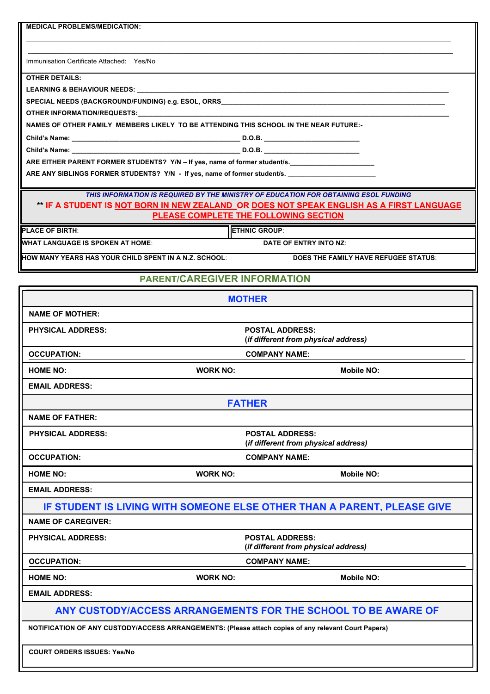| <b>MEDICAL PROBLEMS/MEDICATION:</b>                                                                                                                                                     |                                                                |  |  |  |  |  |
|-----------------------------------------------------------------------------------------------------------------------------------------------------------------------------------------|----------------------------------------------------------------|--|--|--|--|--|
| Immunisation Certificate Attached: Yes/No                                                                                                                                               |                                                                |  |  |  |  |  |
| <b>OTHER DETAILS:</b>                                                                                                                                                                   |                                                                |  |  |  |  |  |
| <b>LEARNING &amp; BEHAVIOUR NEEDS:</b>                                                                                                                                                  |                                                                |  |  |  |  |  |
| SPECIAL NEEDS (BACKGROUND/FUNDING) e.g. ESOL, ORRS______________________________                                                                                                        |                                                                |  |  |  |  |  |
| OTHER INFORMATION/REQUESTS:                                                                                                                                                             |                                                                |  |  |  |  |  |
| NAMES OF OTHER FAMILY MEMBERS LIKELY TO BE ATTENDING THIS SCHOOL IN THE NEAR FUTURE:-                                                                                                   |                                                                |  |  |  |  |  |
|                                                                                                                                                                                         |                                                                |  |  |  |  |  |
|                                                                                                                                                                                         |                                                                |  |  |  |  |  |
| ARE EITHER PARENT FORMER STUDENTS? Y/N - If yes, name of former student/s.                                                                                                              |                                                                |  |  |  |  |  |
| ARE ANY SIBLINGS FORMER STUDENTS? Y/N - If yes, name of former student/s. _________________________                                                                                     |                                                                |  |  |  |  |  |
| THIS INFORMATION IS REQUIRED BY THE MINISTRY OF EDUCATION FOR OBTAINING ESOL FUNDING<br><u>** IF A STUDENT IS NOT BORN IN NEW ZEALAND_OR DOES NOT SPEAK ENGLISH AS A FIRST LANGUAGE</u> |                                                                |  |  |  |  |  |
| PLEASE COMPLETE THE FOLLOWING SECTION                                                                                                                                                   |                                                                |  |  |  |  |  |
| <b>PLACE OF BIRTH:</b><br><b>ETHNIC GROUP:</b>                                                                                                                                          |                                                                |  |  |  |  |  |
| <b>WHAT LANGUAGE IS SPOKEN AT HOME:</b>                                                                                                                                                 | DATE OF ENTRY INTO NZ:                                         |  |  |  |  |  |
| HOW MANY YEARS HAS YOUR CHILD SPENT IN A N.Z. SCHOOL:                                                                                                                                   | DOES THE FAMILY HAVE REFUGEE STATUS:                           |  |  |  |  |  |
|                                                                                                                                                                                         |                                                                |  |  |  |  |  |
| <b>PARENT/CAREGIVER INFORMATION</b>                                                                                                                                                     |                                                                |  |  |  |  |  |
| <b>MOTHER</b>                                                                                                                                                                           |                                                                |  |  |  |  |  |
| <b>NAME OF MOTHER:</b>                                                                                                                                                                  |                                                                |  |  |  |  |  |
| <b>PHYSICAL ADDRESS:</b>                                                                                                                                                                | <b>POSTAL ADDRESS:</b><br>(if different from physical address) |  |  |  |  |  |
| <b>OCCUPATION:</b>                                                                                                                                                                      | <b>COMPANY NAME:</b>                                           |  |  |  |  |  |
| <b>WORK NO:</b><br><b>HOME NO:</b>                                                                                                                                                      | <b>Mobile NO:</b>                                              |  |  |  |  |  |
| <b>EMAIL ADDRESS:</b>                                                                                                                                                                   |                                                                |  |  |  |  |  |
| <b>FATHER</b>                                                                                                                                                                           |                                                                |  |  |  |  |  |
| <b>NAME OF FATHER:</b>                                                                                                                                                                  |                                                                |  |  |  |  |  |
| <b>PHYSICAL ADDRESS:</b>                                                                                                                                                                | <b>POSTAL ADDRESS:</b><br>(if different from physical address) |  |  |  |  |  |
| <b>OCCUPATION:</b><br><b>COMPANY NAME:</b>                                                                                                                                              |                                                                |  |  |  |  |  |
| <b>HOME NO:</b><br><b>WORK NO:</b>                                                                                                                                                      | <b>Mobile NO:</b>                                              |  |  |  |  |  |
| <b>EMAIL ADDRESS:</b>                                                                                                                                                                   |                                                                |  |  |  |  |  |
| IF STUDENT IS LIVING WITH SOMEONE ELSE OTHER THAN A PARENT. PLEASE GIVE                                                                                                                 |                                                                |  |  |  |  |  |
| <b>NAME OF CAREGIVER:</b>                                                                                                                                                               |                                                                |  |  |  |  |  |
| <b>PHYSICAL ADDRESS:</b><br><b>POSTAL ADDRESS:</b><br>(if different from physical address)                                                                                              |                                                                |  |  |  |  |  |
| <b>OCCUPATION:</b>                                                                                                                                                                      | <b>COMPANY NAME:</b>                                           |  |  |  |  |  |
| <b>HOME NO:</b><br><b>WORK NO:</b>                                                                                                                                                      | <b>Mobile NO:</b>                                              |  |  |  |  |  |
| <b>EMAIL ADDRESS:</b>                                                                                                                                                                   |                                                                |  |  |  |  |  |
| ANY CUSTODY/ACCESS ARRANGEMENTS FOR THE SCHOOL TO BE AWARE OF                                                                                                                           |                                                                |  |  |  |  |  |
| NOTIFICATION OF ANY CUSTODY/ACCESS ARRANGEMENTS: (Please attach copies of any relevant Court Papers)                                                                                    |                                                                |  |  |  |  |  |
| <b>COURT ORDERS ISSUES: Yes/No</b>                                                                                                                                                      |                                                                |  |  |  |  |  |
|                                                                                                                                                                                         |                                                                |  |  |  |  |  |